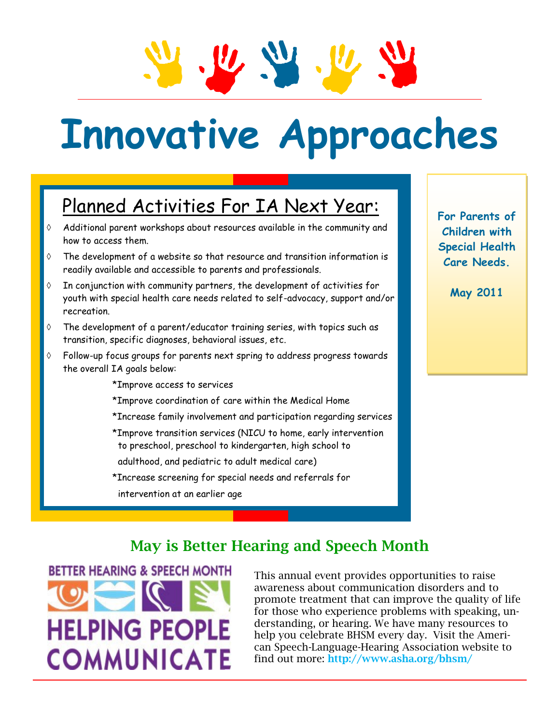# **Innovative Approaches**

## Planned Activities For IA Next Year:

- $\Diamond$  Additional parent workshops about resources available in the community and how to access them.
- The development of a website so that resource and transition information is readily available and accessible to parents and professionals.
- In conjunction with community partners, the development of activities for youth with special health care needs related to self-advocacy, support and/or recreation.
- The development of a parent/educator training series, with topics such as transition, specific diagnoses, behavioral issues, etc.
- $\Diamond$  Follow-up focus groups for parents next spring to address progress towards the overall IA goals below:
	- \*Improve access to services
	- \*Improve coordination of care within the Medical Home
	- \*Increase family involvement and participation regarding services
	- \*Improve transition services (NICU to home, early intervention to preschool, preschool to kindergarten, high school to
	- adulthood, and pediatric to adult medical care)
	- \*Increase screening for special needs and referrals for
	- intervention at an earlier age

**For Parents of Children with Special Health Care Needs.**

**May 2011**

#### **May is Better Hearing and Speech Month**

**BETTER HEARING & SPEECH MONTH HELPING PEOPLE COMMUNICATE** 

This annual event provides opportunities to raise awareness about communication disorders and to promote treatment that can improve the quality of life for those who experience problems with speaking, understanding, or hearing. We have many resources to help you celebrate BHSM every day. Visit the American Speech-Language-Hearing Association website to find out more: **http://www.asha.org/bhsm/**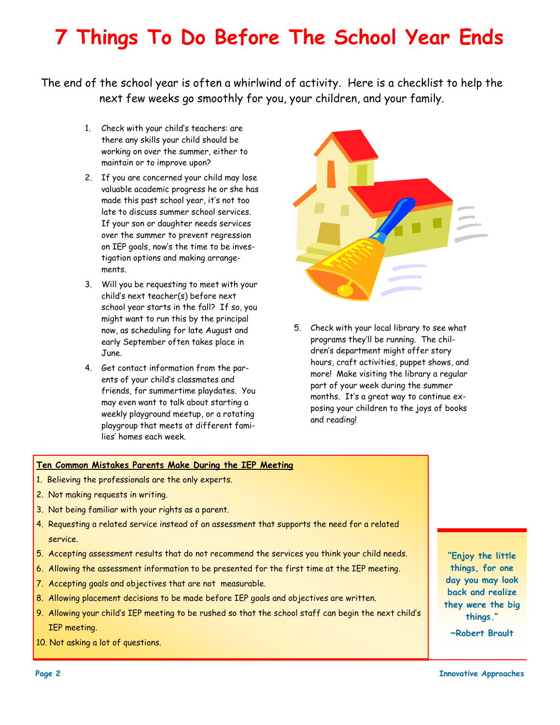# **7 Things To Do Before The School Year Ends**

The end of the school year is often a whirlwind of activity. Here is a checklist to help the next few weeks go smoothly for you, your children, and your family.

- 1. Check with your child's teachers: are there any skills your child should be working on over the summer, either to maintain or to improve upon?
- 2. If you are concerned your child may lose valuable academic progress he or she has made this past school year, it's not too late to discuss summer school services. If your son or daughter needs services over the summer to prevent regression on IEP goals, now's the time to be investigation options and making arrangements.
- 3. Will you be requesting to meet with your child's next teacher(s) before next school year starts in the fall? If so, you might want to run this by the principal now, as scheduling for late August and early September often takes place in June.
- 4. Get contact information from the parents of your child's classmates and friends, for summertime playdates. You may even want to talk about starting a weekly playground meetup, or a rotating playgroup that meets at different families' homes each week.



5. Check with your local library to see what programs they'll be running. The children's department might offer story hours, craft activities, puppet shows, and more! Make visiting the library a regular part of your week during the summer months. It's a great way to continue exposing your children to the joys of books and reading!

#### **Ten Common Mistakes Parents Make During the IEP Meeting**

- 1. Believing the professionals are the only experts.
- 2. Not making requests in writing.
- 3. Not being familiar with your rights as a parent.
- 4. Requesting a related service instead of an assessment that supports the need for a related service.
- 5. Accepting assessment results that do not recommend the services you think your child needs.
- 6. Allowing the assessment information to be presented for the first time at the IEP meeting.
- 7. Accepting goals and objectives that are not measurable.
- 8. Allowing placement decisions to be made before IEP goals and objectives are written.
- 9. Allowing your child's IEP meeting to be rushed so that the school staff can begin the next child's IEP meeting.
- 10. Not asking a lot of questions.

**"Enjoy the little things, for one day you may look back and realize they were the big things."**

**~Robert Brault**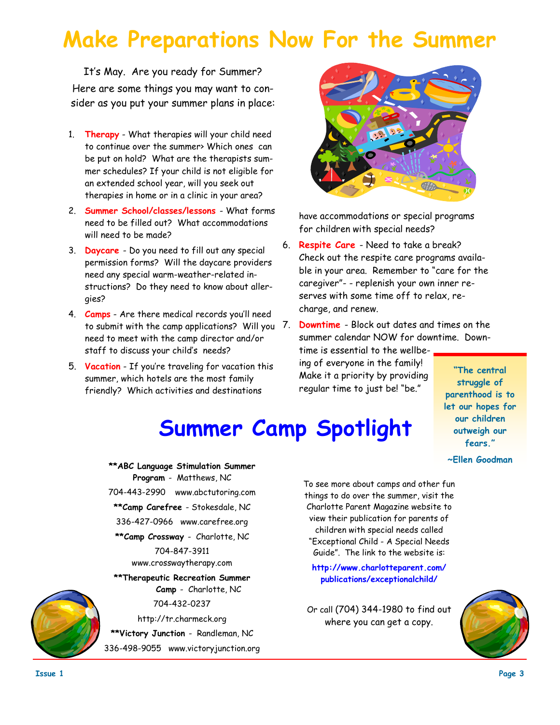# **Make Preparations Now For the Summer**

It's May. Are you ready for Summer? Here are some things you may want to consider as you put your summer plans in place:

- 1. **Therapy** What therapies will your child need to continue over the summer> Which ones can be put on hold? What are the therapists summer schedules? If your child is not eligible for an extended school year, will you seek out therapies in home or in a clinic in your area?
- 2. **Summer School/classes/lessons**  What forms need to be filled out? What accommodations will need to be made?
- 3. **Daycare** Do you need to fill out any special permission forms? Will the daycare providers need any special warm-weather-related instructions? Do they need to know about allergies?
- 4. **Camps** Are there medical records you'll need to submit with the camp applications? Will you need to meet with the camp director and/or staff to discuss your child's needs?
- 5. **Vacation** If you're traveling for vacation this summer, which hotels are the most family friendly? Which activities and destinations



have accommodations or special programs for children with special needs?

- 6. **Respite Care** Need to take a break? Check out the respite care programs available in your area. Remember to "care for the caregiver"- - replenish your own inner reserves with some time off to relax, recharge, and renew.
- **Downtime** Block out dates and times on the summer calendar NOW for downtime. Downtime is essential to the wellbeing of everyone in the family! Make it a priority by providing regular time to just be! "be." **"The central**

#### **struggle of parenthood is to let our hopes for our children outweigh our fears." ~Ellen Goodman**

 **Summer Camp Spotlight**

**\*\*ABC Language Stimulation Summer Program** - Matthews, NC 704-443-2990 www.abctutoring.com **\*\*Camp Carefree** - Stokesdale, NC 336-427-0966 www.carefree.org **\*\*Camp Crossway** - Charlotte, NC 704-847-3911 www.crosswaytherapy.com **\*\*Therapeutic Recreation Summer** 

> **Camp** - Charlotte, NC 704-432-0237

http://tr.charmeck.org

**\*\*Victory Junction** - Randleman, NC

336-498-9055 www.victoryjunction.org

To see more about camps and other fun things to do over the summer, visit the Charlotte Parent Magazine website to view their publication for parents of children with special needs called "Exceptional Child - A Special Needs Guide". The link to the website is:

**http://www.charlotteparent.com/ publications/exceptionalchild/**

Or call (704) 344-1980 to find out where you can get a copy.